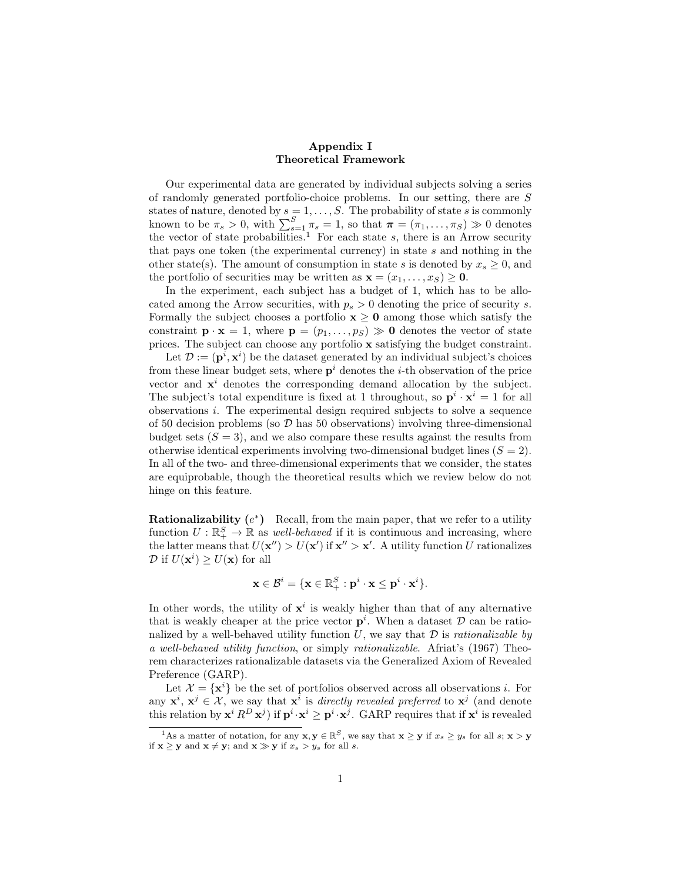## Appendix I Theoretical Framework

Our experimental data are generated by individual subjects solving a series of randomly generated portfolio-choice problems. In our setting, there are S states of nature, denoted by  $s = 1, \ldots, S$ . The probability of state s is commonly known to be  $\pi_s > 0$ , with  $\sum_{s=1}^{S} \pi_s = 1$ , so that  $\boldsymbol{\pi} = (\pi_1, \dots, \pi_S) \gg 0$  denotes the vector of state probabilities.<sup>1</sup> For each state s, there is an Arrow security that pays one token (the experimental currency) in state s and nothing in the other state(s). The amount of consumption in state s is denoted by  $x_s \geq 0$ , and the portfolio of securities may be written as  $\mathbf{x} = (x_1, \dots, x_S) \geq \mathbf{0}$ .

In the experiment, each subject has a budget of 1, which has to be allocated among the Arrow securities, with  $p_s > 0$  denoting the price of security s. Formally the subject chooses a portfolio  $x \geq 0$  among those which satisfy the constraint  $\mathbf{p} \cdot \mathbf{x} = 1$ , where  $\mathbf{p} = (p_1, \ldots, p_S) \gg \mathbf{0}$  denotes the vector of state prices. The subject can choose any portfolio x satisfying the budget constraint.

Let  $\mathcal{D} := (\mathbf{p}^i, \mathbf{x}^i)$  be the dataset generated by an individual subject's choices from these linear budget sets, where  $p^i$  denotes the *i*-th observation of the price vector and  $x^i$  denotes the corresponding demand allocation by the subject. The subject's total expenditure is fixed at 1 throughout, so  $\mathbf{p}^i \cdot \mathbf{x}^i = 1$  for all observations i. The experimental design required subjects to solve a sequence of 50 decision problems (so  $\mathcal D$  has 50 observations) involving three-dimensional budget sets  $(S = 3)$ , and we also compare these results against the results from otherwise identical experiments involving two-dimensional budget lines  $(S = 2)$ . In all of the two- and three-dimensional experiments that we consider, the states are equiprobable, though the theoretical results which we review below do not hinge on this feature.

**Rationalizability**  $(e^*)$  Recall, from the main paper, that we refer to a utility function  $U: \mathbb{R}^S_+ \to \mathbb{R}$  as *well-behaved* if it is continuous and increasing, where the latter means that  $U(\mathbf{x}'') > U(\mathbf{x}')$  if  $\mathbf{x}'' > \mathbf{x}'$ . A utility function U rationalizes  $\mathcal{D}$  if  $U(\mathbf{x}^i) \geq U(\mathbf{x})$  for all

$$
\mathbf{x}\in\mathcal{B}^i=\{\mathbf{x}\in\mathbb{R}^S_+: \mathbf{p}^i\cdot\mathbf{x}\leq\mathbf{p}^i\cdot\mathbf{x}^i\}.
$$

In other words, the utility of  $x^i$  is weakly higher than that of any alternative that is weakly cheaper at the price vector  $p^i$ . When a dataset  $D$  can be rationalized by a well-behaved utility function U, we say that  $\mathcal D$  is *rationalizable by* a well-behaved utility function, or simply rationalizable. Afriat's (1967) Theorem characterizes rationalizable datasets via the Generalized Axiom of Revealed Preference (GARP).

Let  $\mathcal{X} = {\mathbf{x}^i}$  be the set of portfolios observed across all observations i. For any  $\mathbf{x}^i, \mathbf{x}^j \in \mathcal{X}$ , we say that  $\mathbf{x}^i$  is *directly revealed preferred* to  $\mathbf{x}^j$  (and denote this relation by  $\mathbf{x}^i R^D \mathbf{x}^j$  if  $\mathbf{p}^i \cdot \mathbf{x}^i \geq \mathbf{p}^i \cdot \mathbf{x}^j$ . GARP requires that if  $\mathbf{x}^i$  is revealed

<sup>&</sup>lt;sup>1</sup>As a matter of notation, for any  $\mathbf{x}, \mathbf{y} \in \mathbb{R}^S$ , we say that  $\mathbf{x} \geq \mathbf{y}$  if  $x_s \geq y_s$  for all  $s; \mathbf{x} > \mathbf{y}$ if  $\mathbf{x} \geq \mathbf{y}$  and  $\mathbf{x} \neq \mathbf{y}$ ; and  $\mathbf{x} \gg \mathbf{y}$  if  $x_s > y_s$  for all s.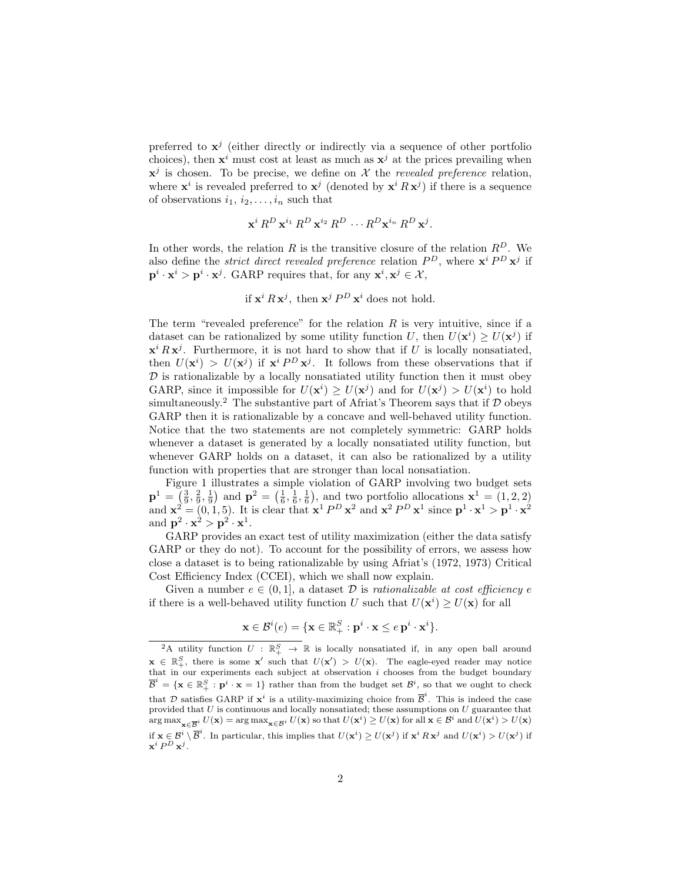preferred to  $x^j$  (either directly or indirectly via a sequence of other portfolio choices), then  $x^i$  must cost at least as much as  $x^j$  at the prices prevailing when  $x^j$  is chosen. To be precise, we define on X the revealed preference relation, where  $\mathbf{x}^i$  is revealed preferred to  $\mathbf{x}^j$  (denoted by  $\mathbf{x}^i R \mathbf{x}^j$ ) if there is a sequence of observations  $i_1, i_2, \ldots, i_n$  such that

$$
\mathbf{x}^i R^D \mathbf{x}^{i_1} R^D \mathbf{x}^{i_2} R^D \cdots R^D \mathbf{x}^{i_n} R^D \mathbf{x}^j.
$$

In other words, the relation R is the transitive closure of the relation  $R<sup>D</sup>$ . We also define the *strict direct revealed preference* relation  $P^D$ , where  $\mathbf{x}^i P^D \mathbf{x}^j$  if  $\mathbf{p}^i \cdot \mathbf{x}^i > \mathbf{p}^i \cdot \mathbf{x}^j$ . GARP requires that, for any  $\mathbf{x}^i, \mathbf{x}^j \in \mathcal{X}$ ,

if 
$$
\mathbf{x}^i R \mathbf{x}^j
$$
, then  $\mathbf{x}^j P^D \mathbf{x}^i$  does not hold.

The term "revealed preference" for the relation  $R$  is very intuitive, since if a dataset can be rationalized by some utility function U, then  $U(\mathbf{x}^i) \geq U(\mathbf{x}^j)$  if  $\mathbf{x}^i R \mathbf{x}^j$ . Furthermore, it is not hard to show that if U is locally nonsatiated, then  $U(\mathbf{x}^i) > U(\mathbf{x}^j)$  if  $\mathbf{x}^i P^D \mathbf{x}^j$ . It follows from these observations that if  $\mathcal D$  is rationalizable by a locally nonsatiated utility function then it must obey GARP, since it impossible for  $U(\mathbf{x}^i) \geq U(\mathbf{x}^j)$  and for  $U(\mathbf{x}^j) > U(\mathbf{x}^i)$  to hold simultaneously.<sup>2</sup> The substantive part of Africat's Theorem says that if  $D$  obeys GARP then it is rationalizable by a concave and well-behaved utility function. Notice that the two statements are not completely symmetric: GARP holds whenever a dataset is generated by a locally nonsatiated utility function, but whenever GARP holds on a dataset, it can also be rationalized by a utility function with properties that are stronger than local nonsatiation.

Figure 1 illustrates a simple violation of GARP involving two budget sets  ${\bf p}^1 = \left(\frac{3}{9}, \frac{2}{9}, \frac{1}{9}\right)$  and  ${\bf p}^2 = \left(\frac{1}{6}, \frac{1}{6}, \frac{1}{6}\right)$ , and two portfolio allocations  ${\bf x}^1 = (1, 2, 2)$ and  $\mathbf{x}^2 = (0, 1, 5)$ . It is clear that  $\mathbf{x}^1 P^D \mathbf{x}^2$  and  $\mathbf{x}^2 P^D \mathbf{x}^1$  since  $\mathbf{p}^1 \cdot \mathbf{x}^1 > \mathbf{p}^1 \cdot \mathbf{x}^2$ and  $\mathbf{p}^2 \cdot \mathbf{x}^2 > \mathbf{p}^2 \cdot \mathbf{x}^1$ .

GARP provides an exact test of utility maximization (either the data satisfy GARP or they do not). To account for the possibility of errors, we assess how close a dataset is to being rationalizable by using Afriat's (1972, 1973) Critical Cost Efficiency Index (CCEI), which we shall now explain.

Given a number  $e \in (0, 1]$ , a dataset  $\mathcal D$  is rationalizable at cost efficiency e if there is a well-behaved utility function U such that  $U(\mathbf{x}^i) \geq U(\mathbf{x})$  for all

$$
\mathbf{x} \in \mathcal{B}^i(e) = \{ \mathbf{x} \in \mathbb{R}_+^S : \mathbf{p}^i \cdot \mathbf{x} \le e \mathbf{p}^i \cdot \mathbf{x}^i \}.
$$

<sup>&</sup>lt;sup>2</sup>A utility function  $U : \mathbb{R}^S_+ \to \mathbb{R}$  is locally nonsatiated if, in any open ball around  $\mathbf{x} \in \mathbb{R}_+^S$ , there is some  $\mathbf{x}'$  such that  $U(\mathbf{x}') > U(\mathbf{x})$ . The eagle-eyed reader may notice that in our experiments each subject at observation  $i$  chooses from the budget boundary  $\overline{\mathcal{B}}^i = \{ \mathbf{x} \in \mathbb{R}_+^S : \mathbf{p}^i \cdot \mathbf{x} = 1 \}$  rather than from the budget set  $\mathcal{B}^i$ , so that we ought to check that D satisfies GARP if  $\mathbf{x}^i$  is a utility-maximizing choice from  $\overline{\mathcal{B}}^i$ . This is indeed the case provided that  $U$  is continuous and locally nonsatiated; these assumptions on  $U$  guarantee that  $\arg \max_{\mathbf{x} \in \overline{\mathcal{B}}^i} U(\mathbf{x}) = \arg \max_{\mathbf{x} \in \mathcal{B}^i} U(\mathbf{x})$  so that  $U(\mathbf{x}^i) \geq U(\mathbf{x})$  for all  $\mathbf{x} \in \mathcal{B}^i$  and  $U(\mathbf{x}^i) > U(\mathbf{x})$ if  $\mathbf{x} \in \mathcal{B}^i \setminus \overline{\mathcal{B}}^i$ . In particular, this implies that  $U(\mathbf{x}^i) \geq U(\mathbf{x}^j)$  if  $\mathbf{x}^i R \mathbf{x}^j$  and  $U(\mathbf{x}^i) > U(\mathbf{x}^j)$  if  $\mathbf{x}^i\,P^D\,\mathbf{x}^j.$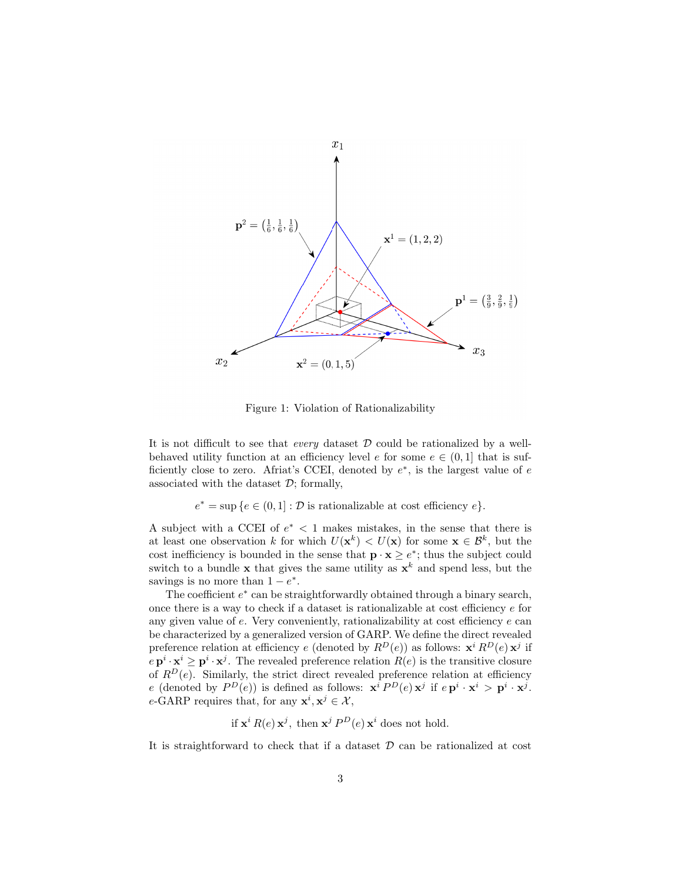

Figure 1: Violation of Rationalizability

It is not difficult to see that *every* dataset  $\mathcal D$  could be rationalized by a wellbehaved utility function at an efficiency level e for some  $e \in (0,1]$  that is sufficiently close to zero. Afriat's CCEI, denoted by  $e^*$ , is the largest value of  $e$ associated with the dataset  $D$ ; formally,

 $e^* = \sup \{e \in (0,1] : \mathcal{D} \text{ is rationalizable at cost efficiency } e\}.$ 

A subject with a CCEI of  $e^*$  < 1 makes mistakes, in the sense that there is at least one observation k for which  $U(\mathbf{x}^k) < U(\mathbf{x})$  for some  $\mathbf{x} \in \mathcal{B}^k$ , but the cost inefficiency is bounded in the sense that  $\mathbf{p} \cdot \mathbf{x} \geq e^*$ ; thus the subject could switch to a bundle **x** that gives the same utility as  $x^k$  and spend less, but the savings is no more than  $1 - e^*$ .

The coefficient  $e^*$  can be straightforwardly obtained through a binary search, once there is a way to check if a dataset is rationalizable at cost efficiency e for any given value of e. Very conveniently, rationalizability at cost efficiency e can be characterized by a generalized version of GARP. We define the direct revealed preference relation at efficiency e (denoted by  $R^D(e)$ ) as follows:  $\mathbf{x}^i R^D(e) \mathbf{x}^j$  if  $e \mathbf{p}^i \cdot \mathbf{x}^i \geq \mathbf{p}^i \cdot \mathbf{x}^j$ . The revealed preference relation  $R(e)$  is the transitive closure of  $R^D(e)$ . Similarly, the strict direct revealed preference relation at efficiency e (denoted by  $P^D(e)$ ) is defined as follows:  $\mathbf{x}^i P^D(e) \mathbf{x}^j$  if  $e \mathbf{p}^i \cdot \mathbf{x}^i > \mathbf{p}^i \cdot \mathbf{x}^j$ . e-GARP requires that, for any  $\mathbf{x}^i, \mathbf{x}^j \in \mathcal{X}$ ,

if  $\mathbf{x}^i R(e) \mathbf{x}^j$ , then  $\mathbf{x}^j P^D(e) \mathbf{x}^i$  does not hold.

It is straightforward to check that if a dataset  $D$  can be rationalized at cost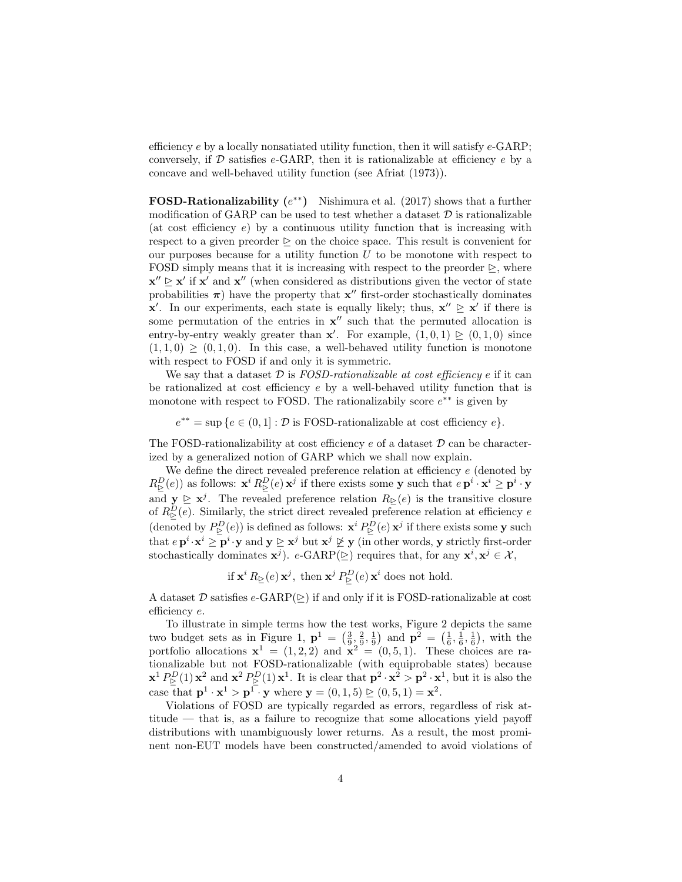efficiency  $e$  by a locally nonsatiated utility function, then it will satisfy  $e$ -GARP; conversely, if  $D$  satisfies  $e$ -GARP, then it is rationalizable at efficiency  $e$  by a concave and well-behaved utility function (see Afriat (1973)).

FOSD-Rationalizability  $(e^{**})$  Nishimura et al. (2017) shows that a further modification of GARP can be used to test whether a dataset  $D$  is rationalizable (at cost efficiency  $e$ ) by a continuous utility function that is increasing with respect to a given preorder  $\triangleright$  on the choice space. This result is convenient for our purposes because for a utility function  $U$  to be monotone with respect to FOSD simply means that it is increasing with respect to the preorder  $\triangleright$ , where  $\mathbf{x}'' \geq \mathbf{x}'$  if  $\mathbf{x}'$  and  $\mathbf{x}''$  (when considered as distributions given the vector of state probabilities  $\pi$ ) have the property that  $x''$  first-order stochastically dominates  $\mathbf{x}'$ . In our experiments, each state is equally likely; thus,  $\mathbf{x}'' \geq \mathbf{x}'$  if there is some permutation of the entries in  $x''$  such that the permuted allocation is entry-by-entry weakly greater than  $x'$ . For example,  $(1,0,1) \ge (0,1,0)$  since  $(1, 1, 0) \geq (0, 1, 0)$ . In this case, a well-behaved utility function is monotone with respect to FOSD if and only it is symmetric.

We say that a dataset  $\mathcal{D}$  is FOSD-rationalizable at cost efficiency e if it can be rationalized at cost efficiency  $e$  by a well-behaved utility function that is monotone with respect to FOSD. The rationalizabily score  $e^{**}$  is given by

 $e^{**} = \sup \{e \in (0,1]: \mathcal{D} \text{ is FOSD-rationalizable at cost efficiency } e\}.$ 

The FOSD-rationalizability at cost efficiency  $e$  of a dataset  $D$  can be characterized by a generalized notion of GARP which we shall now explain.

We define the direct revealed preference relation at efficiency  $e$  (denoted by  $R_{\triangleright}^D(e)$  as follows:  $\mathbf{x}^i R_{\triangleright}^D(e) \mathbf{x}^j$  if there exists some y such that  $e \mathbf{p}^i \cdot \mathbf{x}^i \ge \mathbf{p}^i \cdot \mathbf{y}$ and  $y \geq x^{j}$ . The revealed preference relation  $R_{\triangleright}(e)$  is the transitive closure of  $R_{\triangleright}^{D}(e)$ . Similarly, the strict direct revealed preference relation at efficiency e (denoted by  $P^D_{\triangleright}(e)$ ) is defined as follows:  $\mathbf{x}^i P^D_{\triangleright}(e) \mathbf{x}^j$  if there exists some y such that  $e \mathbf{p}^i \cdot \mathbf{x}^i \geq \mathbf{p}^i \cdot \mathbf{y}$  and  $\mathbf{y} \trianglerighteq \mathbf{x}^j$  but  $\mathbf{x}^j \not\trianglerighteq \mathbf{y}$  (in other words, y strictly first-order stochastically dominates  $\mathbf{x}^{j}$ ).  $e$ -GARP( $\triangleright$ ) requires that, for any  $\mathbf{x}^{i}, \mathbf{x}^{j} \in \mathcal{X}$ ,

if  $\mathbf{x}^i R_{\triangleright}(e) \mathbf{x}^j$ , then  $\mathbf{x}^j P_{\triangleright}^D(e) \mathbf{x}^i$  does not hold.

A dataset  $\mathcal D$  satisfies  $e$ -GARP( $\triangleright$ ) if and only if it is FOSD-rationalizable at cost efficiency e.

To illustrate in simple terms how the test works, Figure 2 depicts the same two budget sets as in Figure 1,  $\mathbf{p}^1 = \left(\frac{3}{9}, \frac{2}{9}, \frac{1}{9}\right)$  and  $\mathbf{p}^2 = \left(\frac{1}{6}, \frac{1}{6}, \frac{1}{6}\right)$ , with the portfolio allocations  $\mathbf{x}^1 = (1, 2, 2)$  and  $\mathbf{x}^2 = (0, 5, 1)$ . These choices are rationalizable but not FOSD-rationalizable (with equiprobable states) because  $\mathbf{x}^1 P^D_{\triangleright}(1)$   $\mathbf{x}^2$  and  $\mathbf{x}^2 P^D_{\triangleright}(1)$   $\mathbf{x}^1$ . It is clear that  $\mathbf{p}^2 \cdot \mathbf{x}^2 > \mathbf{p}^2 \cdot \mathbf{x}^1$ , but it is also the case that  $\mathbf{p}^1 \cdot \mathbf{x}^1 > \mathbf{p}^1 \cdot \mathbf{y}$  where  $\mathbf{y} = (0, 1, 5) \trianglerighteq (0, 5, 1) = \mathbf{x}^2$ .

Violations of FOSD are typically regarded as errors, regardless of risk attitude — that is, as a failure to recognize that some allocations yield payoff distributions with unambiguously lower returns. As a result, the most prominent non-EUT models have been constructed/amended to avoid violations of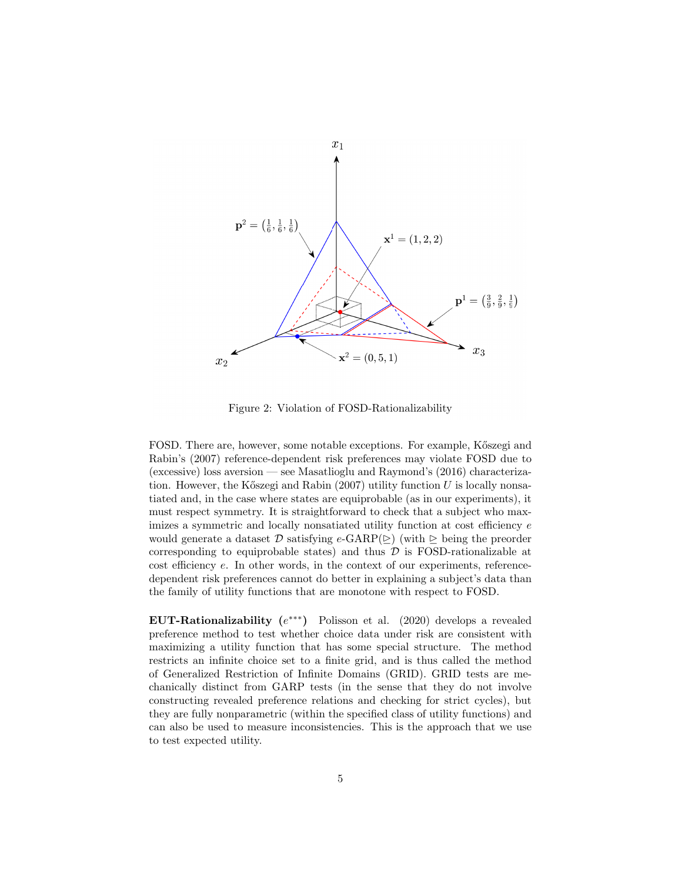

Figure 2: Violation of FOSD-Rationalizability

FOSD. There are, however, some notable exceptions. For example, K $\tilde{c}$ szegi and Rabin's (2007) reference-dependent risk preferences may violate FOSD due to (excessive) loss aversion — see Masatlioglu and Raymond's (2016) characterization. However, the Kőszegi and Rabin (2007) utility function  $U$  is locally nonsatiated and, in the case where states are equiprobable (as in our experiments), it must respect symmetry. It is straightforward to check that a subject who maximizes a symmetric and locally nonsatiated utility function at cost efficiency  $e$ would generate a dataset  $\mathcal D$  satisfying  $e\text{-GARP}(\ge)$  (with  $\ge$  being the preorder corresponding to equiprobable states) and thus  $D$  is FOSD-rationalizable at cost efficiency e. In other words, in the context of our experiments, referencedependent risk preferences cannot do better in explaining a subject's data than the family of utility functions that are monotone with respect to FOSD.

EUT-Rationalizability  $(e^{***})$  Polisson et al. (2020) develops a revealed preference method to test whether choice data under risk are consistent with maximizing a utility function that has some special structure. The method restricts an infinite choice set to a finite grid, and is thus called the method of Generalized Restriction of Infinite Domains (GRID). GRID tests are mechanically distinct from GARP tests (in the sense that they do not involve constructing revealed preference relations and checking for strict cycles), but they are fully nonparametric (within the specified class of utility functions) and can also be used to measure inconsistencies. This is the approach that we use to test expected utility.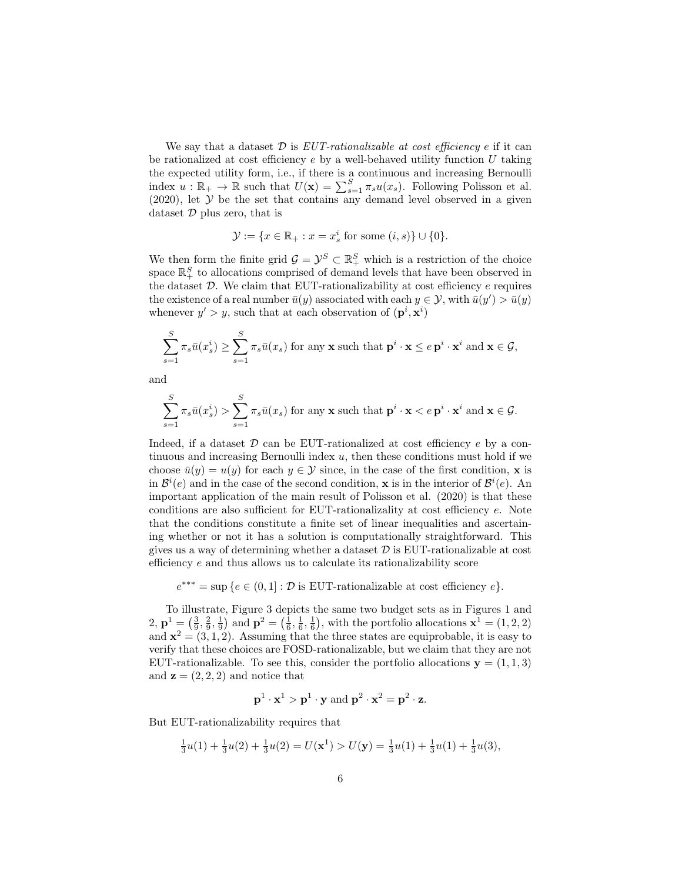We say that a dataset  $\mathcal D$  is EUT-rationalizable at cost efficiency e if it can be rationalized at cost efficiency  $e$  by a well-behaved utility function  $U$  taking the expected utility form, i.e., if there is a continuous and increasing Bernoulli index  $u : \mathbb{R}_+ \to \mathbb{R}$  such that  $U(\mathbf{x}) = \sum_{s=1}^{S} \pi_s u(x_s)$ . Following Polisson et al.  $(2020)$ , let  $\mathcal Y$  be the set that contains any demand level observed in a given dataset  $D$  plus zero, that is

$$
\mathcal{Y} := \{ x \in \mathbb{R}_+ : x = x_s^i \text{ for some } (i, s) \} \cup \{0\}.
$$

We then form the finite grid  $\mathcal{G} = \mathcal{Y}^S \subset \mathbb{R}^S_+$  which is a restriction of the choice space  $\mathbb{R}_+^S$  to allocations comprised of demand levels that have been observed in the dataset  $D$ . We claim that EUT-rationalizability at cost efficiency  $e$  requires the existence of a real number  $\bar{u}(y)$  associated with each  $y \in \mathcal{Y}$ , with  $\bar{u}(y') > \bar{u}(y)$ whenever  $y' > y$ , such that at each observation of  $(\mathbf{p}^i, \mathbf{x}^i)$ 

$$
\sum_{s=1}^{S} \pi_s \bar{u}(x_s^i) \ge \sum_{s=1}^{S} \pi_s \bar{u}(x_s)
$$
 for any **x** such that  $\mathbf{p}^i \cdot \mathbf{x} \le e \mathbf{p}^i \cdot \mathbf{x}^i$  and  $\mathbf{x} \in \mathcal{G}$ ,

and

$$
\sum_{s=1}^{S} \pi_s \bar{u}(x_s^i) > \sum_{s=1}^{S} \pi_s \bar{u}(x_s)
$$
 for any **x** such that  $\mathbf{p}^i \cdot \mathbf{x} < e \mathbf{p}^i \cdot \mathbf{x}^i$  and  $\mathbf{x} \in \mathcal{G}$ .

Indeed, if a dataset  $\mathcal D$  can be EUT-rationalized at cost efficiency e by a continuous and increasing Bernoulli index  $u$ , then these conditions must hold if we choose  $\bar{u}(y) = u(y)$  for each  $y \in \mathcal{Y}$  since, in the case of the first condition, **x** is in  $\mathcal{B}^i(e)$  and in the case of the second condition, **x** is in the interior of  $\mathcal{B}^i(e)$ . An important application of the main result of Polisson et al. (2020) is that these conditions are also sufficient for EUT-rationalizality at cost efficiency e. Note that the conditions constitute a finite set of linear inequalities and ascertaining whether or not it has a solution is computationally straightforward. This gives us a way of determining whether a dataset  $\mathcal D$  is EUT-rationalizable at cost efficiency e and thus allows us to calculate its rationalizability score

 $e^{***} = \sup \{e \in (0,1]: \mathcal{D} \text{ is EUT-rationalizable at cost efficiency } e\}.$ 

To illustrate, Figure 3 depicts the same two budget sets as in Figures 1 and 2,  $\mathbf{p}^1 = \left(\frac{3}{9}, \frac{2}{9}, \frac{1}{9}\right)$  and  $\mathbf{p}^2 = \left(\frac{1}{6}, \frac{1}{6}, \frac{1}{6}\right)$ , with the portfolio allocations  $\mathbf{x}^1 = (1, 2, 2)$ and  $\mathbf{x}^2 = (3, 1, 2)$ . Assuming that the three states are equiprobable, it is easy to verify that these choices are FOSD-rationalizable, but we claim that they are not EUT-rationalizable. To see this, consider the portfolio allocations  $y = (1, 1, 3)$ and  $z = (2, 2, 2)$  and notice that

$$
\mathbf{p}^1 \cdot \mathbf{x}^1 > \mathbf{p}^1 \cdot \mathbf{y} \text{ and } \mathbf{p}^2 \cdot \mathbf{x}^2 = \mathbf{p}^2 \cdot \mathbf{z}.
$$

But EUT-rationalizability requires that

$$
\frac{1}{3}u(1) + \frac{1}{3}u(2) + \frac{1}{3}u(2) = U(\mathbf{x}^1) > U(\mathbf{y}) = \frac{1}{3}u(1) + \frac{1}{3}u(1) + \frac{1}{3}u(3),
$$